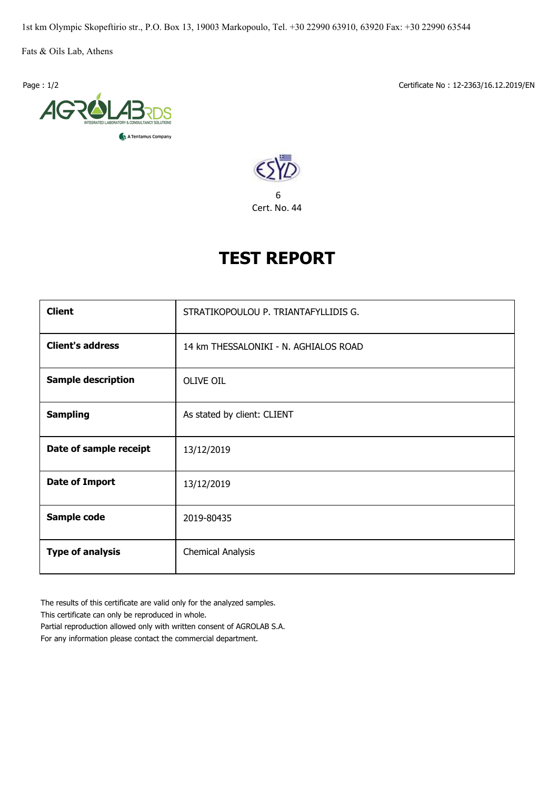1st km Olympic Skopeftirio str., P.O. Box 13, 19003 Markopoulo, Tel. +30 22990 63910, 63920 Fax: +30 22990 63544

Fats & Oils Lab, Athens



Page : 1/2 Certificate No : 12-2363/16.12.2019/EN



## **TEST REPORT**

| <b>Client</b>             | STRATIKOPOULOU P. TRIANTAFYLLIDIS G.  |  |  |  |  |
|---------------------------|---------------------------------------|--|--|--|--|
| <b>Client's address</b>   | 14 km THESSALONIKI - N. AGHIALOS ROAD |  |  |  |  |
| <b>Sample description</b> | <b>OLIVE OIL</b>                      |  |  |  |  |
| <b>Sampling</b>           | As stated by client: CLIENT           |  |  |  |  |
| Date of sample receipt    | 13/12/2019                            |  |  |  |  |
| <b>Date of Import</b>     | 13/12/2019                            |  |  |  |  |
| Sample code               | 2019-80435                            |  |  |  |  |
| <b>Type of analysis</b>   | <b>Chemical Analysis</b>              |  |  |  |  |

The results of this certificate are valid only for the analyzed samples.

This certificate can only be reproduced in whole.

Partial reproduction allowed only with written consent of AGROLAB S.A. For any information please contact the commercial department.